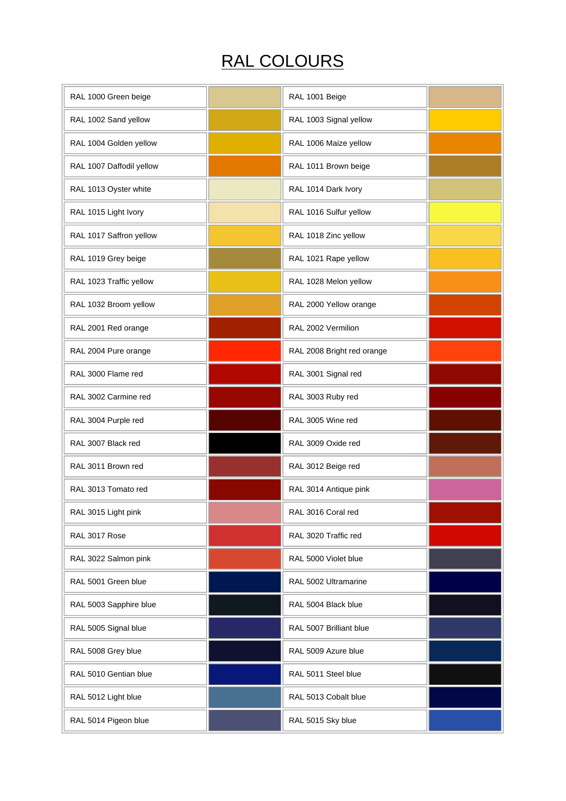## RAL COLOURS

| RAL 1000 Green beige     | RAL 1001 Beige             |  |
|--------------------------|----------------------------|--|
| RAL 1002 Sand yellow     | RAL 1003 Signal yellow     |  |
| RAL 1004 Golden yellow   | RAL 1006 Maize yellow      |  |
| RAL 1007 Daffodil yellow | RAL 1011 Brown beige       |  |
| RAL 1013 Oyster white    | RAL 1014 Dark Ivory        |  |
| RAL 1015 Light Ivory     | RAL 1016 Sulfur yellow     |  |
| RAL 1017 Saffron yellow  | RAL 1018 Zinc yellow       |  |
| RAL 1019 Grey beige      | RAL 1021 Rape yellow       |  |
| RAL 1023 Traffic yellow  | RAL 1028 Melon yellow      |  |
| RAL 1032 Broom yellow    | RAL 2000 Yellow orange     |  |
| RAL 2001 Red orange      | RAL 2002 Vermilion         |  |
| RAL 2004 Pure orange     | RAL 2008 Bright red orange |  |
| RAL 3000 Flame red       | RAL 3001 Signal red        |  |
| RAL 3002 Carmine red     | RAL 3003 Ruby red          |  |
| RAL 3004 Purple red      | RAL 3005 Wine red          |  |
| RAL 3007 Black red       | RAL 3009 Oxide red         |  |
| RAL 3011 Brown red       | RAL 3012 Beige red         |  |
| RAL 3013 Tomato red      | RAL 3014 Antique pink      |  |
| RAL 3015 Light pink      | RAL 3016 Coral red         |  |
| RAL 3017 Rose            | RAL 3020 Traffic red       |  |
| RAL 3022 Salmon pink     | RAL 5000 Violet blue       |  |
| RAL 5001 Green blue      | RAL 5002 Ultramarine       |  |
| RAL 5003 Sapphire blue   | RAL 5004 Black blue        |  |
| RAL 5005 Signal blue     | RAL 5007 Brilliant blue    |  |
| RAL 5008 Grey blue       | RAL 5009 Azure blue        |  |
| RAL 5010 Gentian blue    | RAL 5011 Steel blue        |  |
| RAL 5012 Light blue      | RAL 5013 Cobalt blue       |  |
| RAL 5014 Pigeon blue     | RAL 5015 Sky blue          |  |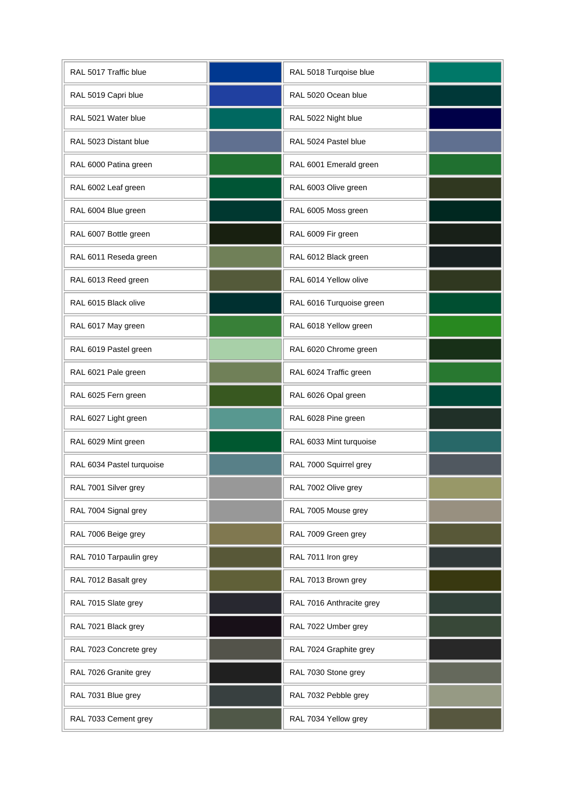| RAL 5017 Traffic blue     | RAL 5018 Turqoise blue   |  |
|---------------------------|--------------------------|--|
| RAL 5019 Capri blue       | RAL 5020 Ocean blue      |  |
| RAL 5021 Water blue       | RAL 5022 Night blue      |  |
| RAL 5023 Distant blue     | RAL 5024 Pastel blue     |  |
| RAL 6000 Patina green     | RAL 6001 Emerald green   |  |
| RAL 6002 Leaf green       | RAL 6003 Olive green     |  |
| RAL 6004 Blue green       | RAL 6005 Moss green      |  |
| RAL 6007 Bottle green     | RAL 6009 Fir green       |  |
| RAL 6011 Reseda green     | RAL 6012 Black green     |  |
| RAL 6013 Reed green       | RAL 6014 Yellow olive    |  |
| RAL 6015 Black olive      | RAL 6016 Turquoise green |  |
| RAL 6017 May green        | RAL 6018 Yellow green    |  |
| RAL 6019 Pastel green     | RAL 6020 Chrome green    |  |
| RAL 6021 Pale green       | RAL 6024 Traffic green   |  |
| RAL 6025 Fern green       | RAL 6026 Opal green      |  |
| RAL 6027 Light green      | RAL 6028 Pine green      |  |
| RAL 6029 Mint green       | RAL 6033 Mint turquoise  |  |
| RAL 6034 Pastel turquoise | RAL 7000 Squirrel grey   |  |
| RAL 7001 Silver grey      | RAL 7002 Olive grey      |  |
| RAL 7004 Signal grey      | RAL 7005 Mouse grey      |  |
| RAL 7006 Beige grey       | RAL 7009 Green grey      |  |
| RAL 7010 Tarpaulin grey   | RAL 7011 Iron grey       |  |
| RAL 7012 Basalt grey      | RAL 7013 Brown grey      |  |
| RAL 7015 Slate grey       | RAL 7016 Anthracite grey |  |
| RAL 7021 Black grey       | RAL 7022 Umber grey      |  |
| RAL 7023 Concrete grey    | RAL 7024 Graphite grey   |  |
| RAL 7026 Granite grey     | RAL 7030 Stone grey      |  |
| RAL 7031 Blue grey        | RAL 7032 Pebble grey     |  |
| RAL 7033 Cement grey      | RAL 7034 Yellow grey     |  |